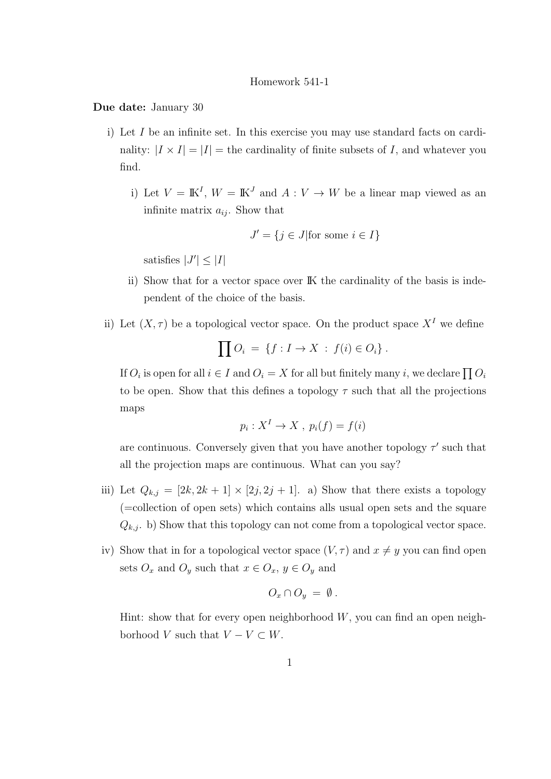## Homework 541-1

Due date: January 30

- i) Let I be an infinite set. In this exercise you may use standard facts on cardinality:  $|I \times I| = |I|$  = the cardinality of finite subsets of I, and whatever you find.
	- i) Let  $V = \mathbb{K}^I$ ,  $W = \mathbb{K}^J$  and  $A: V \to W$  be a linear map viewed as an infinite matrix  $a_{ij}$ . Show that

$$
J' = \{ j \in J | \text{for some } i \in I \}
$$

satisfies  $|J'| \leq |I|$ 

- ii) Show that for a vector space over IK the cardinality of the basis is independent of the choice of the basis.
- ii) Let  $(X, \tau)$  be a topological vector space. On the product space  $X<sup>I</sup>$  we define

$$
\prod O_i = \{f: I \to X : f(i) \in O_i\}.
$$

If  $O_i$  is open for all  $i \in I$  and  $O_i = X$  for all but finitely many i, we declare  $\prod O_i$ to be open. Show that this defines a topology  $\tau$  such that all the projections maps

$$
p_i: X^I \to X, \ p_i(f) = f(i)
$$

are continuous. Conversely given that you have another topology  $\tau'$  such that all the projection maps are continuous. What can you say?

- iii) Let  $Q_{k,j} = [2k, 2k+1] \times [2j, 2j+1]$ . a) Show that there exists a topology (=collection of open sets) which contains alls usual open sets and the square  $Q_{k,j}$ . b) Show that this topology can not come from a topological vector space.
- iv) Show that in for a topological vector space  $(V, \tau)$  and  $x \neq y$  you can find open sets  $O_x$  and  $O_y$  such that  $x \in O_x$ ,  $y \in O_y$  and

$$
O_x \cap O_y = \emptyset.
$$

Hint: show that for every open neighborhood  $W$ , you can find an open neighborhood V such that  $V - V \subset W$ .